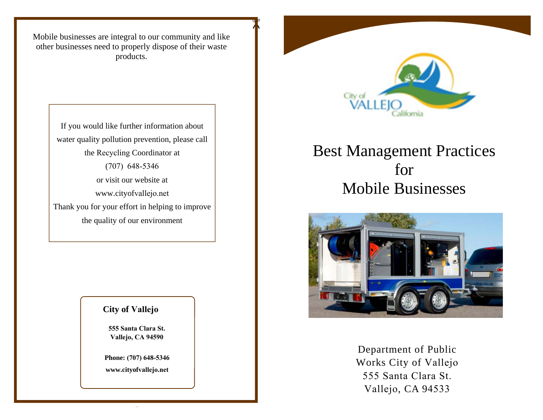Mobile businesses are integral to our community and like other businesses need to properly dispose of their waste products.

 $\int_0^b$ 

If you would like further information about water quality pollution prevention, please call the Recycling Coordinator at(707) 648-5346or visit our website at www.cityofvallejo.netThank you for your effort in helping to improve the quality of our environment

### **City of Vallejo**

**555 Santa Clara St.Vallejo, CA 94590**

**Phone: (707) 648-5346www.cityofvallejo.net**



# Best Management Practices for Mobile Businesses



Department of Public Works City of Vallejo555 Santa Clara St.Vallejo, CA 94533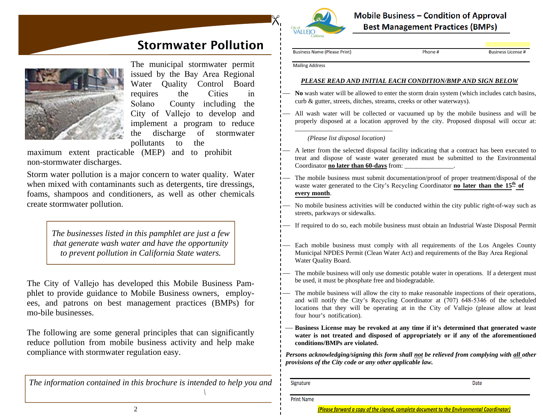### $\boldsymbol{\mathsf{R}}$ **City of**<br>**VALLEJO**

**Mobile Business - Condition of Approval Best Management Practices (BMPs)** 

Phone#

### Stormwater Pollution



The municipal stormwater permit issued by the Bay Area Regional Water Quality Control Board requires the Cities in Solano County including the City of Vallejo to develop and implement a program to reduce the discharge of stormwater pollutants to the

 maximum extent practicable (MEP) and to prohibit non-stormwater discharges.

Storm water pollution is a major concern to water quality. Water when mixed with contaminants such as detergents, tire dressings, foams, shampoos and conditioners, as well as other chemicals create stormwater pollution.

> *The businesses listed in this pamphlet are just a few that generate wash water and have the opportunity to prevent pollution in California State waters.*

The City of Vallejo has developed this Mobile Business Pamphlet to provide guidance to Mobile Business owners, employees, and patrons on best management practices (BMPs) for mo-bile businesses.

The following are some general principles that can significantly reduce pollution from mobile business activity and help make compliance with stormwater regulation easy.

*The information contained in this brochure is intended to help you and*

**Business Name (Please Print)** 

**Business License** 

**Mailing Address** 

#### *PLEASE READ AND INITIAL EACH CONDITION/BMP AND SIGN BELOW*

- $\overline{\phantom{0}}$  **No** wash water will be allowed to enter the storm drain system (which includes catch basins, curb & gutter, streets, ditches, streams, creeks or other waterways).
- $\overline{\phantom{0}}$  All wash water will be collected or vacuumed up by the mobile business and will be properly disposed at a location approved by the city. Proposed disposal will occur at:

\_\_\_\_\_\_\_\_\_\_\_\_\_\_\_\_\_\_\_\_\_\_\_\_\_\_\_\_\_\_ *(Please list disposal location)* 

- $\overline{\phantom{0}}$  A letter from the selected disposal facility indicating that a contract has been executed to treat and dispose of waste water generated must be submitted to the Environmental Coordinator **no later than 60-days** from: \_\_\_\_\_\_\_\_\_\_\_\_\_\_\_.
- The mobile business must submit documentation/proof of proper treatment/disposal of the waste water generated to the City's Recycling Coordinator **no later than the 15<sup>th</sup> of every month**.
- $\overline{\phantom{0}}$  No mobile business activities will be conducted within the city public right-of-way such as streets, parkways or sidewalks.
- $\overline{\phantom{0}}$ If required to do so, each mobile business must obtain an Industrial Waste Disposal Permit
- $\overline{\phantom{a}}$  Each mobile business must comply with all requirements of the Los Angeles County Municipal NPDES Permit (Clean Water Act) and requirements of the Bay Area Regional Water Quality Board.
- $\overline{\phantom{a}}$  The mobile business will only use domestic potable water in operations. If a detergent must be used, it must be phosphate free and biodegradable.
- $\overline{\phantom{0}}$  The mobile business will allow the city to make reasonable inspections of their operations, and will notify the City's Recycling Coordinator at (707) 648-5346 of the scheduled locations that they will be operating at in the City of Vallejo (please allow at least four hour's notification).
- **Business License may be revoked at any time if it's determined that generated waste water is not treated and disposed of appropriately or if any of the aforementioned conditions/BMPs are violated.**

*Persons acknowledging/signing this form shall not be relieved from complying with all other provisions of the City code or any other applicable law.*

Signature

Date

**Print Name** 

 $\frac{1}{10}$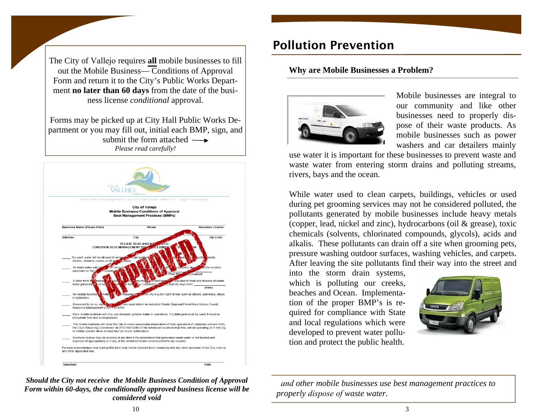The City of Vallejo requires **all** mobile businesses to fill out the Mobile Business— Conditions of Approval Form and return it to the City's Public Works Department **no later than 60 days** from the date of the business license *conditional* approval.

Forms may be picked up at City Hall Public Works Department or you may fill out, initial each BMP, sign, and submit the form attached *Please read carefully!* 



#### *Should the City not receive the Mobile Business Condition of Approval Form within 60-days, the conditionally approved business license will be considered void*

### Pollution Prevention

#### **Why are Mobile Businesses a Problem?**



Mobile businesses are integral to our community and like other businesses need to properly dispose of their waste products. As mobile businesses such as power washers and car detailers mainly

use water it is important for these businesses to prevent waste and waste water from entering storm drains and polluting streams, rivers, bays and the ocean.

While water used to clean carpets, buildings, vehicles or used during pet grooming services may not be considered polluted, the pollutants generated by mobile businesses include heavy metals (copper, lead, nickel and zinc), hydrocarbons (oil & grease), toxic chemicals (solvents, chlorinated compounds, glycols), acids and alkalis. These pollutants can drain off a site when grooming pets, pressure washing outdoor surfaces, washing vehicles, and carpets. After leaving the site pollutants find their way into the street and

into the storm drain systems, which is polluting our creeks, beaches and Ocean. Implementation of the proper BMP's is required for compliance with State and local regulations which were developed to prevent water pollution and protect the public health.



*and other mobile businesses use best management practices to properly dispose of waste water.*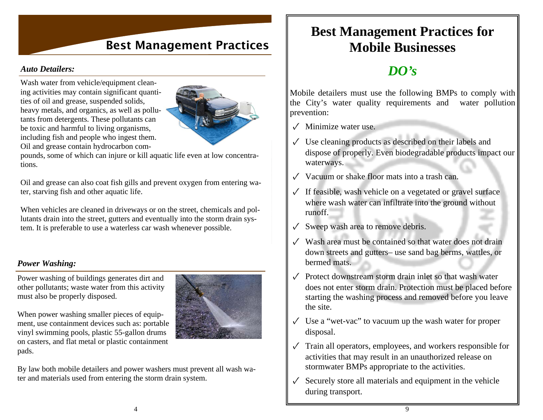### Best Management Practices

#### *Auto Detailers:*

Wash water from vehicle/equipment cleaning activities may contain significant quantities of oil and grease, suspended solids, heavy metals, and organics, as well as pollutants from detergents. These pollutants can be toxic and harmful to living organisms, including fish and people who ingest them. Oil and grease contain hydrocarbon com-



pounds, some of which can injure or kill aquatic life even at low concentrations.

Oil and grease can also coat fish gills and prevent oxygen from entering water, starving fish and other aquatic life.

When vehicles are cleaned in driveways or on the street, chemicals and pollutants drain into the street, gutters and eventually into the storm drain system. It is preferable to use a waterless car wash whenever possible.

#### *Power Washing:*

Power washing of buildings generates dirt and other pollutants; waste water from this activity must also be properly disposed.

When power washing smaller pieces of equipment, use containment devices such as: portable vinyl swimming pools, plastic 55-gallon drums on casters, and flat metal or plastic containment pads.



By law both mobile detailers and power washers must prevent all wash water and materials used from entering the storm drain system.

### **Best Management Practices for Mobile Businesses**

### *DO's*

Mobile detailers must use the following BMPs to comply with the City's water quality requirements and water pollution prevention:

✓ Minimize water use.

- $\checkmark$  Use cleaning products as described on their labels and dispose of properly. Even biodegradable products impact our waterways.
- ✓ Vacuum or shake floor mats into a trash can.
- $\sqrt{\ }$  If feasible, wash vehicle on a vegetated or gravel surface where wash water can infiltrate into the ground without runoff.
- $\checkmark$  Sweep wash area to remove debris.
- $\sqrt{\phantom{a}}$  Wash area must be contained so that water does not drain down streets and gutters– use sand bag berms, wattles, or bermed mats.
- $\sqrt{\phantom{a}}$  Protect downstream storm drain inlet so that wash water does not enter storm drain. Protection must be placed before starting the washing process and removed before you leave the site.
- $\sqrt{\phantom{a}}$  Use a "wet-vac" to vacuum up the wash water for proper disposal.
- $\sqrt{\ }$  Train all operators, employees, and workers responsible for activities that may result in an unauthorized release on stormwater BMPs appropriate to the activities.
- $\checkmark$  Securely store all materials and equipment in the vehicle during transport.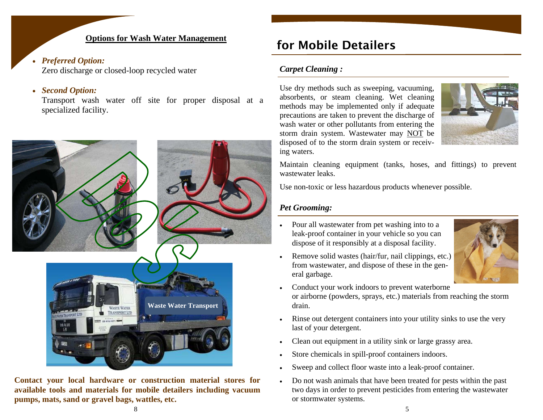#### **Options for Wash Water Management**

#### *Preferred Option:*

Zero discharge or closed-loop recycled water

#### $\bullet$ *Second Option:*

Transport wash water off site for proper disposal at a specialized facility.



**Contact your local hardware or construction material stores for available tools and materials for mobile detailers including vacuum pumps, mats, sand or gravel bags, wattles, etc.** 

### for Mobile Detailers

#### *Carpet Cleaning :*

Use dry methods such as sweeping, vacuuming, absorbents, or steam cleaning. Wet cleaning methods may be implemented only if adequate precautions are taken to prevent the discharge of wash water or other pollutants from entering the storm drain system. Wastewater may NOT be disposed of to the storm drain system or receiving waters.



Maintain cleaning equipment (tanks, hoses, and fittings) to prevent wastewater leaks.

Use non-toxic or less hazardous products whenever possible.

### *Pet Grooming:*

. Pour all wastewater from pet washing into to a leak-proof container in your vehicle so you can dispose of it responsibly at a disposal facility.



- . Remove solid wastes (hair/fur, nail clippings, etc.) from wastewater, and dispose of these in the general garbage.
- . Conduct your work indoors to prevent waterborne or airborne (powders, sprays, etc.) materials from reaching the storm drain.
- . Rinse out detergent containers into your utility sinks to use the very last of your detergent.
- . Clean out equipment in a utility sink or large grassy area.
- . Store chemicals in spill-proof containers indoors.
- . Sweep and collect floor waste into a leak-proof container.
- . Do not wash animals that have been treated for pests within the past two days in order to prevent pesticides from entering the wastewater or stormwater systems.